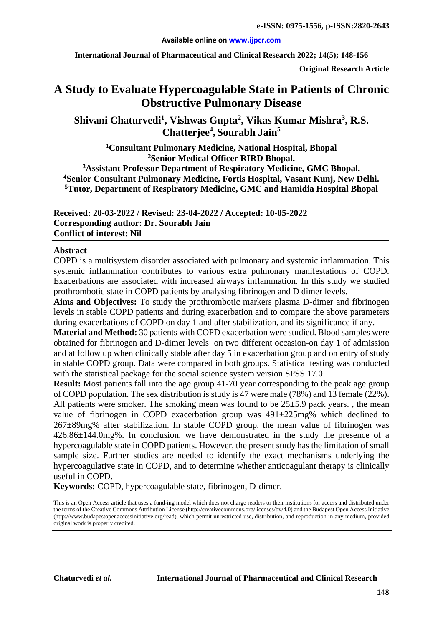#### **Available online on [www.ijpcr.com](http://www.ijpcr.com/)**

**International Journal of Pharmaceutical and Clinical Research 2022; 14(5); 148-156**

**Original Research Article**

# **A Study to Evaluate Hypercoagulable State in Patients of Chronic Obstructive Pulmonary Disease**

**Shivani Chaturvedi1 , Vishwas Gupta<sup>2</sup> , Vikas Kumar Mishra<sup>3</sup> , R.S. Chatterjee4 , Sourabh Jain5**

**1Consultant Pulmonary Medicine, National Hospital, Bhopal 2Senior Medical Officer RIRD Bhopal.**

**3 Assistant Professor Department of Respiratory Medicine, GMC Bhopal. 4 Senior Consultant Pulmonary Medicine, Fortis Hospital, Vasant Kunj, New Delhi. 5 Tutor, Department of Respiratory Medicine, GMC and Hamidia Hospital Bhopal**

**Received: 20-03-2022 / Revised: 23-04-2022 / Accepted: 10-05-2022 Corresponding author: Dr. Sourabh Jain Conflict of interest: Nil**

#### **Abstract**

COPD is a multisystem disorder associated with pulmonary and systemic inflammation. This systemic inflammation contributes to various extra pulmonary manifestations of COPD. Exacerbations are associated with increased airways inflammation. In this study we studied prothrombotic state in COPD patients by analysing fibrinogen and D dimer levels.

**Aims and Objectives:** To study the prothrombotic markers plasma D-dimer and fibrinogen levels in stable COPD patients and during exacerbation and to compare the above parameters during exacerbations of COPD on day 1 and after stabilization, and its significance if any.

**Material and Method:** 30 patients with COPD exacerbation were studied. Blood samples were obtained for fibrinogen and D-dimer levels on two different occasion-on day 1 of admission and at follow up when clinically stable after day 5 in exacerbation group and on entry of study in stable COPD group. Data were compared in both groups. Statistical testing was conducted with the statistical package for the social science system version SPSS 17.0.

**Result:** Most patients fall into the age group 41-70 year corresponding to the peak age group of COPD population. The sex distribution is study is 47 were male (78%) and 13 female (22%). All patients were smoker. The smoking mean was found to be  $25\pm5.9$  pack years., the mean value of fibrinogen in COPD exacerbation group was  $491\pm225$  mg% which declined to 267±89mg% after stabilization. In stable COPD group, the mean value of fibrinogen was 426.86±144.0mg%. In conclusion, we have demonstrated in the study the presence of a hypercoagulable state in COPD patients. However, the present study has the limitation of small sample size. Further studies are needed to identify the exact mechanisms underlying the hypercoagulative state in COPD, and to determine whether anticoagulant therapy is clinically useful in COPD.

**Keywords:** COPD, hypercoagulable state, fibrinogen, D-dimer.

This is an Open Access article that uses a fund-ing model which does not charge readers or their institutions for access and distributed under the terms of the Creative Commons Attribution License (http://creativecommons.org/licenses/by/4.0) and the Budapest Open Access Initiative (http://www.budapestopenaccessinitiative.org/read), which permit unrestricted use, distribution, and reproduction in any medium, provided original work is properly credited.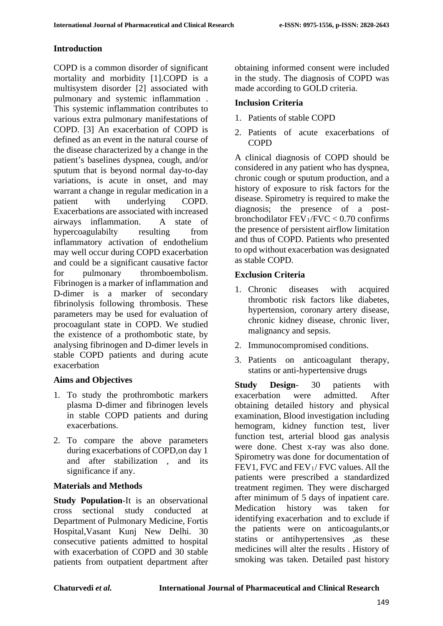### **Introduction**

COPD is a common disorder of significant mortality and morbidity [1].COPD is a multisystem disorder [2] associated with pulmonary and systemic inflammation . This systemic inflammation contributes to various extra pulmonary manifestations of COPD. [3] An exacerbation of COPD is defined as an event in the natural course of the disease characterized by a change in the patient's baselines dyspnea, cough, and/or sputum that is beyond normal day-to-day variations, is acute in onset, and may warrant a change in regular medication in a patient with underlying COPD. Exacerbations are associated with increased airways inflammation. A state of hypercoagulabilty resulting from inflammatory activation of endothelium may well occur during COPD exacerbation and could be a significant causative factor for pulmonary thromboembolism. Fibrinogen is a marker of inflammation and D-dimer is a marker of secondary fibrinolysis following thrombosis. These parameters may be used for evaluation of procoagulant state in COPD. We studied the existence of a prothombotic state, by analysing fibrinogen and D-dimer levels in stable COPD patients and during acute exacerbation

# **Aims and Objectives**

- 1. To study the prothrombotic markers plasma D-dimer and fibrinogen levels in stable COPD patients and during exacerbations.
- 2. To compare the above parameters during exacerbations of COPD,on day 1 and after stabilization , and its significance if any.

# **Materials and Methods**

**Study Population**-It is an observational cross sectional study conducted at Department of Pulmonary Medicine, Fortis Hospital,Vasant Kunj New Delhi. 30 consecutive patients admitted to hospital with exacerbation of COPD and 30 stable patients from outpatient department after obtaining informed consent were included in the study. The diagnosis of COPD was made according to GOLD criteria.

### **Inclusion Criteria**

- 1. Patients of stable COPD
- 2. Patients of acute exacerbations of COPD

A clinical diagnosis of COPD should be considered in any patient who has dyspnea, chronic cough or sputum production, and a history of exposure to risk factors for the disease. Spirometry is required to make the diagnosis; the presence of a postbronchodilator  $FEV_1/FVC < 0.70$  confirms the presence of persistent airflow limitation and thus of COPD. Patients who presented to opd without exacerbation was designated as stable COPD.

### **Exclusion Criteria**

- 1. Chronic diseases with acquired thrombotic risk factors like diabetes, hypertension, coronary artery disease, chronic kidney disease, chronic liver, malignancy and sepsis.
- 2. Immunocompromised conditions.
- 3. Patients on anticoagulant therapy, statins or anti-hypertensive drugs

**Study Design**- 30 patients with exacerbation were admitted. After obtaining detailed history and physical examination, Blood investigation including hemogram, kidney function test, liver function test, arterial blood gas analysis were done. Chest x-ray was also done. Spirometry was done for documentation of FEV1, FVC and FEV<sub>1</sub>/ FVC values. All the patients were prescribed a standardized treatment regimen. They were discharged after minimum of 5 days of inpatient care. Medication history was taken for identifying exacerbation and to exclude if the patients were on anticoagulants,or statins or antihypertensives ,as these medicines will alter the results . History of smoking was taken. Detailed past history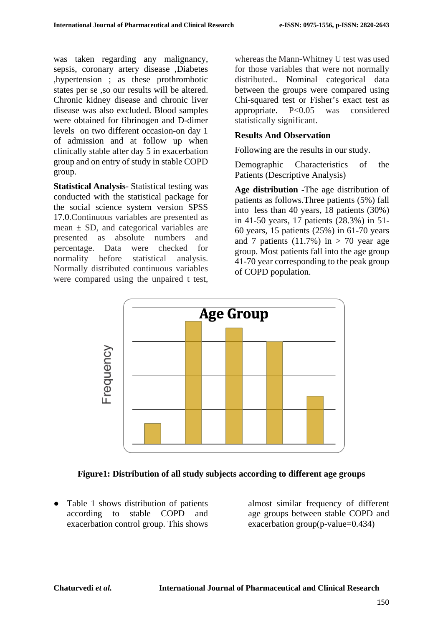was taken regarding any malignancy, sepsis, coronary artery disease ,Diabetes ,hypertension ; as these prothrombotic states per se ,so our results will be altered. Chronic kidney disease and chronic liver disease was also excluded. Blood samples were obtained for fibrinogen and D-dimer levels on two different occasion-on day 1 of admission and at follow up when clinically stable after day 5 in exacerbation group and on entry of study in stable COPD group.

**Statistical Analysis**- Statistical testing was conducted with the statistical package for the social science system version SPSS 17.0.Continuous variables are presented as mean  $\pm$  SD, and categorical variables are presented as absolute numbers and percentage. Data were checked for normality before statistical analysis. Normally distributed continuous variables were compared using the unpaired t test,

whereas the Mann-Whitney U test was used for those variables that were not normally distributed.. Nominal categorical data between the groups were compared using Chi-squared test or Fisher's exact test as appropriate. P<0.05 was considered statistically significant.

### **Results And Observation**

Following are the results in our study.

Demographic Characteristics of the Patients (Descriptive Analysis)

**Age distribution -**The age distribution of patients as follows.Three patients (5%) fall into less than 40 years, 18 patients (30%) in 41-50 years, 17 patients (28.3%) in 51- 60 years, 15 patients (25%) in 61-70 years and 7 patients  $(11.7%)$  in  $> 70$  year age group. Most patients fall into the age group 41-70 year corresponding to the peak group of COPD population.



#### **Figure1: Distribution of all study subjects according to different age groups**

● Table 1 shows distribution of patients according to stable COPD and exacerbation control group. This shows

almost similar frequency of different age groups between stable COPD and exacerbation group(p-value=0.434)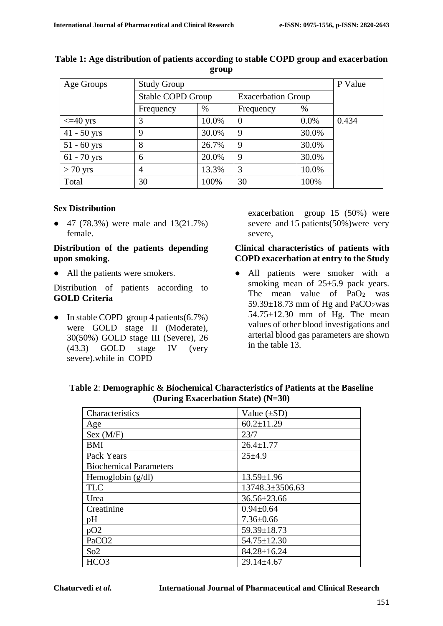| Age Groups         | <b>Study Group</b>       | P Value |                           |         |       |
|--------------------|--------------------------|---------|---------------------------|---------|-------|
|                    | <b>Stable COPD Group</b> |         | <b>Exacerbation Group</b> |         |       |
|                    | Frequency                | %       | Frequency                 | $\%$    |       |
| $\epsilon$ =40 yrs |                          | 10.0%   | $\theta$                  | $0.0\%$ | 0.434 |
| $41 - 50$ yrs      | 9                        | 30.0%   | 9                         | 30.0%   |       |
| $51 - 60$ yrs      | 8                        | 26.7%   | 9                         | 30.0%   |       |
| $61 - 70$ yrs      | 6                        | 20.0%   | 9                         | 30.0%   |       |
| $> 70$ yrs         |                          | 13.3%   | 3                         | 10.0%   |       |
| Total              | 30                       | 100%    | 30                        | 100%    |       |

#### **Table 1: Age distribution of patients according to stable COPD group and exacerbation group**

#### **Sex Distribution**

● 47 (78.3%) were male and 13(21.7%) female.

#### **Distribution of the patients depending upon smoking.**

• All the patients were smokers.

Distribution of patients according to **GOLD Criteria**

• In stable COPD group 4 patients(6.7%) were GOLD stage II (Moderate), 30(50%) GOLD stage III (Severe), 26 (43.3) GOLD stage IV (very severe).while in COPD

exacerbation group 15 (50%) were severe and 15 patients(50%)were very severe,

#### **Clinical characteristics of patients with COPD exacerbation at entry to the Study**

● All patients were smoker with a smoking mean of 25±5.9 pack years. The mean value of  $PaO<sub>2</sub>$  was 59.39 $\pm$ 18.73 mm of Hg and PaCO<sub>2</sub>was 54.75±12.30 mm of Hg. The mean values of other blood investigations and arterial blood gas parameters are shown in the table 13.

| Table 2: Demographic & Biochemical Characteristics of Patients at the Baseline |
|--------------------------------------------------------------------------------|
| (During Exacerbation State) $(N=30)$                                           |

| Characteristics               | Value $(\pm SD)$  |
|-------------------------------|-------------------|
| Age                           | $60.2 \pm 11.29$  |
| Sex (M/F)                     | 23/7              |
| <b>BMI</b>                    | $26.4 \pm 1.77$   |
| Pack Years                    | $25 + 4.9$        |
| <b>Biochemical Parameters</b> |                   |
| Hemoglobin $(g/dl)$           | $13.59 \pm 1.96$  |
| <b>TLC</b>                    | 13748.3±3506.63   |
| Urea                          | $36.56 \pm 23.66$ |
| Creatinine                    | $0.94 \pm 0.64$   |
| pH                            | $7.36 \pm 0.66$   |
| pO2                           | 59.39±18.73       |
| PaCO <sub>2</sub>             | $54.75 \pm 12.30$ |
| So2                           | $84.28 \pm 16.24$ |
| HCO <sub>3</sub>              | $29.14 \pm 4.67$  |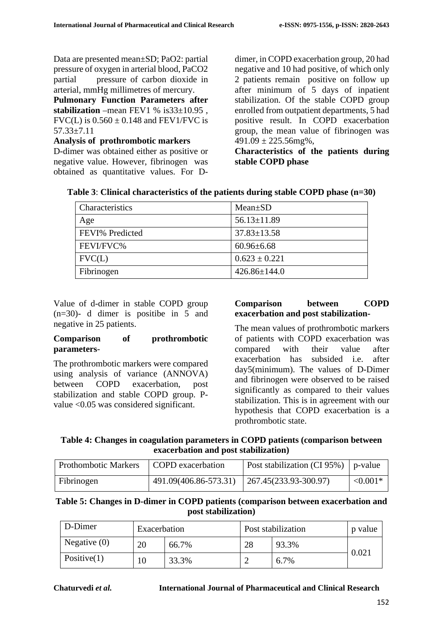Data are presented mean±SD; PaO2: partial pressure of oxygen in arterial blood, PaCO2 partial pressure of carbon dioxide in arterial, mmHg millimetres of mercury.

**Pulmonary Function Parameters after**  stabilization –mean FEV1 % is  $33\pm10.95$ ,  $FVC(L)$  is  $0.560 \pm 0.148$  and  $FEV1/FVC$  is 57.33±7.11

**Analysis of prothrombotic markers**

D-dimer was obtained either as positive or negative value. However, fibrinogen was obtained as quantitative values. For D-

dimer, in COPD exacerbation group, 20 had negative and 10 had positive, of which only 2 patients remain positive on follow up after minimum of 5 days of inpatient stabilization. Of the stable COPD group enrolled from outpatient departments, 5 had positive result. In COPD exacerbation group, the mean value of fibrinogen was  $491.09 \pm 225.56$ mg%,

**Characteristics of the patients during stable COPD phase**

| Characteristics | $Mean \pm SD$      |
|-----------------|--------------------|
| Age             | $56.13 \pm 11.89$  |
| FEVI% Predicted | $37.83 \pm 13.58$  |
| FEVI/FVC%       | $60.96 \pm 6.68$   |
| FVC(L)          | $0.623 \pm 0.221$  |
| Fibrinogen      | $426.86 \pm 144.0$ |

**Table 3**: **Clinical characteristics of the patients during stable COPD phase (n=30)**

Value of d-dimer in stable COPD group (n=30)- d dimer is positibe in 5 and negative in 25 patients.

#### **Comparison of prothrombotic parameters**-

The prothrombotic markers were compared using analysis of variance (ANNOVA) between COPD exacerbation, post stabilization and stable COPD group. Pvalue <0.05 was considered significant.

#### **Comparison between COPD exacerbation and post stabilization-**

The mean values of prothrombotic markers of patients with COPD exacerbation was compared with their value after exacerbation has subsided i.e. after day5(minimum). The values of D-Dimer and fibrinogen were observed to be raised significantly as compared to their values stabilization. This is in agreement with our hypothesis that COPD exacerbation is a prothrombotic state.

### **Table 4: Changes in coagulation parameters in COPD patients (comparison between exacerbation and post stabilization)**

| Prothombotic Markers | COPD exacerbation     | Post stabilization (CI 95%) $\vert$ p-value |            |
|----------------------|-----------------------|---------------------------------------------|------------|
| Fibrinogen           | 491.09(406.86-573.31) | $ 267.45(233.93-300.97) $                   | $< 0.001*$ |

### **Table 5: Changes in D-dimer in COPD patients (comparison between exacerbation and post stabilization)**

| D-Dimer        | Exacerbation |       | Post stabilization | p value |       |
|----------------|--------------|-------|--------------------|---------|-------|
| Negative $(0)$ | 20           | 66.7% | 28                 | 93.3%   |       |
| Positive $(1)$ | 10           | 33.3% |                    | 6.7%    | 0.021 |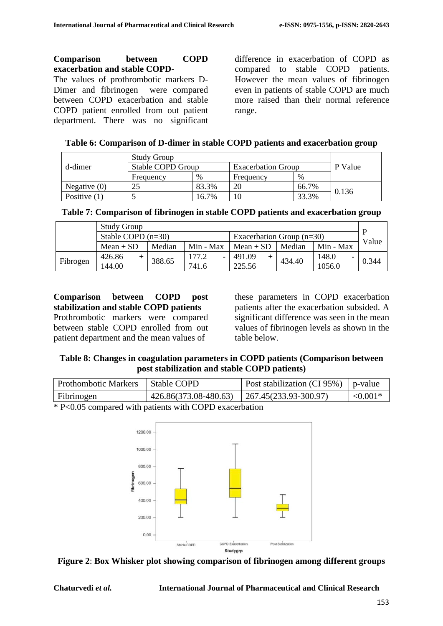#### **Comparison between COPD exacerbation and stable COPD**-

The values of prothrombotic markers D-Dimer and fibrinogen were compared between COPD exacerbation and stable COPD patient enrolled from out patient department. There was no significant

difference in exacerbation of COPD as compared to stable COPD patients. However the mean values of fibrinogen even in patients of stable COPD are much more raised than their normal reference range.

|  |  |  |  | Table 6: Comparison of D-dimer in stable COPD patients and exacerbation group |  |
|--|--|--|--|-------------------------------------------------------------------------------|--|
|  |  |  |  |                                                                               |  |

|                | <b>Study Group</b> |         |                           |       |         |
|----------------|--------------------|---------|---------------------------|-------|---------|
| d-dimer        | Stable COPD Group  |         | <b>Exacerbation Group</b> |       | P Value |
|                | Frequency          | $\%$    | Frequency                 | %     |         |
| Negative $(0)$ |                    | 83.3%   | 20                        | 66.7% |         |
| Positive $(1)$ |                    | $6.7\%$ |                           | 33.3% | 0.136   |

|  |  | Table 7: Comparison of fibrinogen in stable COPD patients and exacerbation group |
|--|--|----------------------------------------------------------------------------------|
|  |  |                                                                                  |

|          | <b>Study Group</b>                                  |        |           |               |        |           | D     |
|----------|-----------------------------------------------------|--------|-----------|---------------|--------|-----------|-------|
|          | Stable COPD $(n=30)$<br>Exacerbation Group $(n=30)$ |        |           | Value         |        |           |       |
|          | Mean $\pm$ SD                                       | Median | Min - Max | Mean $\pm$ SD | Median | Min - Max |       |
|          | 426.86<br>$\pm$                                     | 388.65 | 177.2     | 491.09<br>土   | 434.40 | 148.0     | 0.344 |
| Fibrogen | 144.00                                              |        | 741.6     | 225.56        |        | 1056.0    |       |

**Comparison between COPD post stabilization and stable COPD patients** Prothrombotic markers were compared between stable COPD enrolled from out patient department and the mean values of

these parameters in COPD exacerbation patients after the exacerbation subsided. A significant difference was seen in the mean values of fibrinogen levels as shown in the table below.

**Table 8: Changes in coagulation parameters in COPD patients (Comparison between post stabilization and stable COPD patients)**

| <b>Prothombotic Markers</b>            | Stable COPD                                   | Post stabilization (CI 95%) $\vert$ p-value |            |
|----------------------------------------|-----------------------------------------------|---------------------------------------------|------------|
| Fibrinogen                             | 426.86(373.08-480.63)   267.45(233.93-300.97) |                                             | $< 0.001*$ |
| $\mathbf{a}$ $\mathbf{b}$ $\mathbf{c}$ | $\cdots$ $\cdots$ $\cdots$                    |                                             |            |

\* P<0.05 compared with patients with COPD exacerbation



**Figure 2**: **Box Whisker plot showing comparison of fibrinogen among different groups**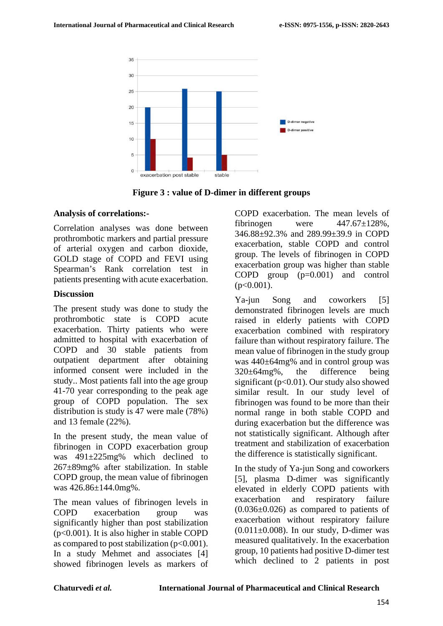

**Figure 3 : value of D-dimer in different groups**

#### **Analysis of correlations:-**

Correlation analyses was done between prothrombotic markers and partial pressure of arterial oxygen and carbon dioxide, GOLD stage of COPD and FEVI using Spearman's Rank correlation test in patients presenting with acute exacerbation.

### **Discussion**

The present study was done to study the prothrombotic state is COPD acute exacerbation. Thirty patients who were admitted to hospital with exacerbation of COPD and 30 stable patients from outpatient department after obtaining informed consent were included in the study.. Most patients fall into the age group 41-70 year corresponding to the peak age group of COPD population. The sex distribution is study is 47 were male (78%) and 13 female (22%).

In the present study, the mean value of fibrinogen in COPD exacerbation group was 491±225mg% which declined to 267±89mg% after stabilization. In stable COPD group, the mean value of fibrinogen was 426.86±144.0mg%.

The mean values of fibrinogen levels in COPD exacerbation group was significantly higher than post stabilization (p<0.001). It is also higher in stable COPD as compared to post stabilization  $(p<0.001)$ . In a study Mehmet and associates [4] showed fibrinogen levels as markers of COPD exacerbation. The mean levels of fibrinogen were  $447.67 \pm 128\%$ . 346.88±92.3% and 289.99±39.9 in COPD exacerbation, stable COPD and control group. The levels of fibrinogen in COPD exacerbation group was higher than stable COPD group (p=0.001) and control  $(p<0.001)$ .

Ya-jun Song and coworkers [5] demonstrated fibrinogen levels are much raised in elderly patients with COPD exacerbation combined with respiratory failure than without respiratory failure. The mean value of fibrinogen in the study group was 440±64mg% and in control group was 320±64mg%, the difference being significant ( $p<0.01$ ). Our study also showed similar result. In our study level of fibrinogen was found to be more than their normal range in both stable COPD and during exacerbation but the difference was not statistically significant. Although after treatment and stabilization of exacerbation the difference is statistically significant.

In the study of Ya-jun Song and coworkers [5], plasma D-dimer was significantly elevated in elderly COPD patients with exacerbation and respiratory failure  $(0.036\pm0.026)$  as compared to patients of exacerbation without respiratory failure  $(0.011\pm0.008)$ . In our study, D-dimer was measured qualitatively. In the exacerbation group, 10 patients had positive D-dimer test which declined to 2 patients in post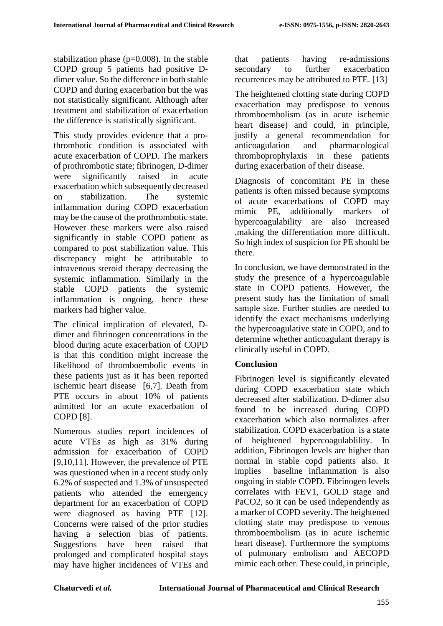stabilization phase (p=0.008). In the stable COPD group 5 patients had positive Ddimer value. So the difference in both stable COPD and during exacerbation but the was not statistically significant. Although after treatment and stabilization of exacerbation the difference is statistically significant.

This study provides evidence that a prothrombotic condition is associated with acute exacerbation of COPD. The markers of prothrombotic state; fibrinogen, D-dimer were significantly raised in acute exacerbation which subsequently decreased on stabilization. The systemic inflammation during COPD exacerbation may be the cause of the prothrombotic state. However these markers were also raised significantly in stable COPD patient as compared to post stabilization value. This discrepancy might be attributable to intravenous steroid therapy decreasing the systemic inflammation. Similarly in the stable COPD patients the systemic inflammation is ongoing, hence these markers had higher value.

The clinical implication of elevated, Ddimer and fibrinogen concentrations in the blood during acute exacerbation of COPD is that this condition might increase the likelihood of thromboembolic events in these patients just as it has been reported ischemic heart disease [6,7]. Death from PTE occurs in about 10% of patients admitted for an acute exacerbation of COPD [8].

Numerous studies report incidences of acute VTEs as high as 31% during admission for exacerbation of COPD [9,10,11]. However, the prevalence of PTE was questioned when in a recent study only 6.2% of suspected and 1.3% of unsuspected patients who attended the emergency department for an exacerbation of COPD were diagnosed as having PTE [12]. Concerns were raised of the prior studies having a selection bias of patients. Suggestions have been raised that prolonged and complicated hospital stays may have higher incidences of VTEs and that patients having re-admissions secondary to further exacerbation recurrences may be attributed to PTE. [13]

The heightened clotting state during COPD exacerbation may predispose to venous thromboembolism (as in acute ischemic heart disease) and could, in principle, justify a general recommendation for anticoagulation and pharmacological thromboprophylaxis in these patients during exacerbation of their disease.

Diagnosis of concomitant PE in these patients is often missed because symptoms of acute exacerbations of COPD may mimic PE, additionally markers of hypercoagulability are also increased ,making the differentiation more difficult. So high index of suspicion for PE should be there.

In conclusion, we have demonstrated in the study the presence of a hypercoagulable state in COPD patients. However, the present study has the limitation of small sample size. Further studies are needed to identify the exact mechanisms underlying the hypercoagulative state in COPD, and to determine whether anticoagulant therapy is clinically useful in COPD.

# **Conclusion**

Fibrinogen level is significantly elevated during COPD exacerbation state which decreased after stabilization. D-dimer also found to be increased during COPD exacerbation which also normalizes after stabilization. COPD exacerbation is a state of heightened hypercoagulablility. In addition, Fibrinogen levels are higher than normal in stable copd patients also. It implies baseline inflammation is also ongoing in stable COPD. Fibrinogen levels correlates with FEV1, GOLD stage and PaCO2, so it can be used independently as a marker of COPD severity. The heightened clotting state may predispose to venous thromboembolism (as in acute ischemic heart disease). Furthermore the symptoms of pulmonary embolism and AECOPD mimic each other. These could, in principle,